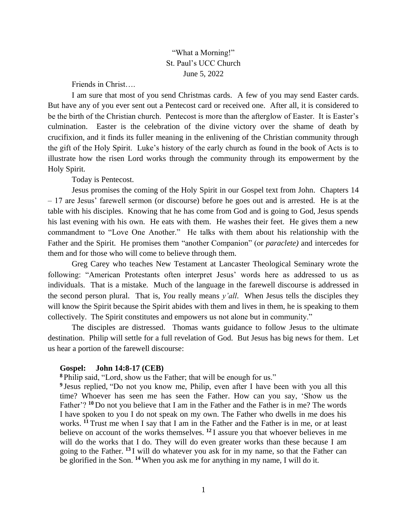# "What a Morning!" St. Paul's UCC Church June 5, 2022

Friends in Christ….

I am sure that most of you send Christmas cards. A few of you may send Easter cards. But have any of you ever sent out a Pentecost card or received one. After all, it is considered to be the birth of the Christian church. Pentecost is more than the afterglow of Easter. It is Easter's culmination. Easter is the celebration of the divine victory over the shame of death by crucifixion, and it finds its fuller meaning in the enlivening of the Christian community through the gift of the Holy Spirit. Luke's history of the early church as found in the book of Acts is to illustrate how the risen Lord works through the community through its empowerment by the Holy Spirit.

Today is Pentecost.

Jesus promises the coming of the Holy Spirit in our Gospel text from John. Chapters 14 – 17 are Jesus' farewell sermon (or discourse) before he goes out and is arrested. He is at the table with his disciples. Knowing that he has come from God and is going to God, Jesus spends his last evening with his own. He eats with them. He washes their feet. He gives them a new commandment to "Love One Another." He talks with them about his relationship with the Father and the Spirit. He promises them "another Companion" (or *paraclete)* and intercedes for them and for those who will come to believe through them.

Greg Carey who teaches New Testament at Lancaster Theological Seminary wrote the following: "American Protestants often interpret Jesus' words here as addressed to us as individuals. That is a mistake. Much of the language in the farewell discourse is addressed in the second person plural. That is, *You* really means *y'all*. When Jesus tells the disciples they will know the Spirit because the Spirit abides with them and lives in them, he is speaking to them collectively. The Spirit constitutes and empowers us not alone but in community."

The disciples are distressed. Thomas wants guidance to follow Jesus to the ultimate destination. Philip will settle for a full revelation of God. But Jesus has big news for them. Let us hear a portion of the farewell discourse:

## **Gospel: John 14:8-17 (CEB)**

**<sup>8</sup>** Philip said, "Lord, show us the Father; that will be enough for us."

<sup>9</sup> Jesus replied, "Do not you know me, Philip, even after I have been with you all this time? Whoever has seen me has seen the Father. How can you say, 'Show us the Father'? <sup>10</sup> Do not you believe that I am in the Father and the Father is in me? The words I have spoken to you I do not speak on my own. The Father who dwells in me does his works. **<sup>11</sup>** Trust me when I say that I am in the Father and the Father is in me, or at least believe on account of the works themselves. **<sup>12</sup>** I assure you that whoever believes in me will do the works that I do. They will do even greater works than these because I am going to the Father. **<sup>13</sup>** I will do whatever you ask for in my name, so that the Father can be glorified in the Son. **<sup>14</sup>** When you ask me for anything in my name, I will do it.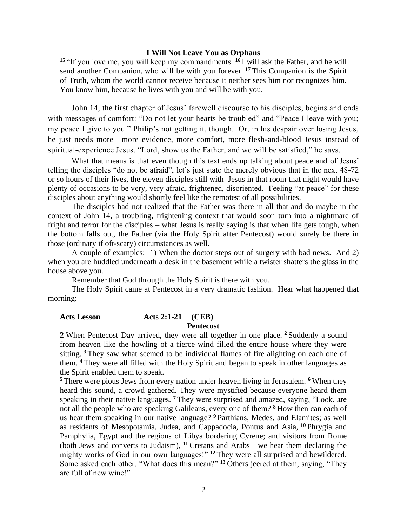### **I Will Not Leave You as Orphans**

**<sup>15</sup>** "If you love me, you will keep my commandments. **<sup>16</sup>** I will ask the Father, and he will send another Companion, who will be with you forever. **<sup>17</sup>** This Companion is the Spirit of Truth, whom the world cannot receive because it neither sees him nor recognizes him. You know him, because he lives with you and will be with you.

John 14, the first chapter of Jesus' farewell discourse to his disciples, begins and ends with messages of comfort: "Do not let your hearts be troubled" and "Peace I leave with you; my peace I give to you." Philip's not getting it, though. Or, in his despair over losing Jesus, he just needs more—more evidence, more comfort, more flesh-and-blood Jesus instead of spiritual-experience Jesus. "Lord, show us the Father, and we will be satisfied," he says.

What that means is that even though this text ends up talking about peace and of Jesus' telling the disciples "do not be afraid", let's just state the merely obvious that in the next 48-72 or so hours of their lives, the eleven disciples still with Jesus in that room that night would have plenty of occasions to be very, very afraid, frightened, disoriented. Feeling "at peace" for these disciples about anything would shortly feel like the remotest of all possibilities.

The disciples had not realized that the Father was there in all that and do maybe in the context of John 14, a troubling, frightening context that would soon turn into a nightmare of fright and terror for the disciples – what Jesus is really saying is that when life gets tough, when the bottom falls out, the Father (via the Holy Spirit after Pentecost) would surely be there in those (ordinary if oft-scary) circumstances as well.

A couple of examples: 1) When the doctor steps out of surgery with bad news. And 2) when you are huddled underneath a desk in the basement while a twister shatters the glass in the house above you.

Remember that God through the Holy Spirit is there with you.

The Holy Spirit came at Pentecost in a very dramatic fashion. Hear what happened that morning:

## **Acts Lesson Acts 2:1-21 (CEB)**

### **Pentecost**

**2** When Pentecost Day arrived, they were all together in one place. **<sup>2</sup>** Suddenly a sound from heaven like the howling of a fierce wind filled the entire house where they were sitting. **<sup>3</sup>** They saw what seemed to be individual flames of fire alighting on each one of them. **<sup>4</sup>** They were all filled with the Holy Spirit and began to speak in other languages as the Spirit enabled them to speak.

**<sup>5</sup>** There were pious Jews from every nation under heaven living in Jerusalem. **<sup>6</sup>** When they heard this sound, a crowd gathered. They were mystified because everyone heard them speaking in their native languages. **<sup>7</sup>** They were surprised and amazed, saying, "Look, are not all the people who are speaking Galileans, every one of them? **<sup>8</sup>** How then can each of us hear them speaking in our native language? **<sup>9</sup>** Parthians, Medes, and Elamites; as well as residents of Mesopotamia, Judea, and Cappadocia, Pontus and Asia, **<sup>10</sup>** Phrygia and Pamphylia, Egypt and the regions of Libya bordering Cyrene; and visitors from Rome (both Jews and converts to Judaism), **<sup>11</sup>**Cretans and Arabs—we hear them declaring the mighty works of God in our own languages!" **<sup>12</sup>** They were all surprised and bewildered. Some asked each other, "What does this mean?" **<sup>13</sup>** Others jeered at them, saying, "They are full of new wine!"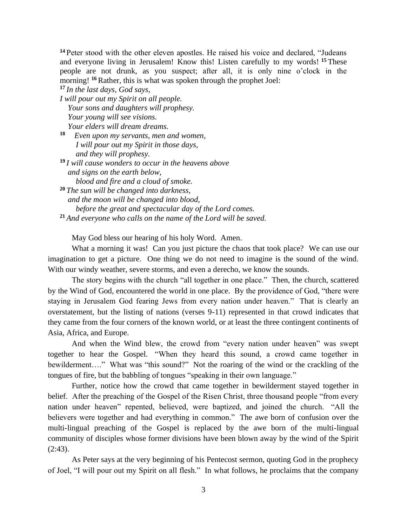**<sup>14</sup>** Peter stood with the other eleven apostles. He raised his voice and declared, "Judeans and everyone living in Jerusalem! Know this! Listen carefully to my words! **<sup>15</sup>** These people are not drunk, as you suspect; after all, it is only nine o'clock in the morning! **<sup>16</sup>**Rather, this is what was spoken through the prophet Joel:

**<sup>17</sup>** *In the last days, God says, I will pour out my Spirit on all people. Your sons and daughters will prophesy. Your young will see visions. Your elders will dream dreams.*

**18** *Even upon my servants, men and women, I will pour out my Spirit in those days, and they will prophesy.*

**<sup>19</sup>** *I will cause wonders to occur in the heavens above and signs on the earth below, blood and fire and a cloud of smoke.*

**<sup>20</sup>** *The sun will be changed into darkness, and the moon will be changed into blood, before the great and spectacular day of the Lord comes.* **<sup>21</sup>** *And everyone who calls on the name of the Lord will be saved.*

May God bless our hearing of his holy Word. Amen.

What a morning it was! Can you just picture the chaos that took place? We can use our imagination to get a picture. One thing we do not need to imagine is the sound of the wind. With our windy weather, severe storms, and even a derecho, we know the sounds.

The story begins with the church "all together in one place." Then, the church, scattered by the Wind of God, encountered the world in one place. By the providence of God, "there were staying in Jerusalem God fearing Jews from every nation under heaven." That is clearly an overstatement, but the listing of nations (verses 9-11) represented in that crowd indicates that they came from the four corners of the known world, or at least the three contingent continents of Asia, Africa, and Europe.

And when the Wind blew, the crowd from "every nation under heaven" was swept together to hear the Gospel. "When they heard this sound, a crowd came together in bewilderment…." What was "this sound?" Not the roaring of the wind or the crackling of the tongues of fire, but the babbling of tongues "speaking in their own language."

Further, notice how the crowd that came together in bewilderment stayed together in belief. After the preaching of the Gospel of the Risen Christ, three thousand people "from every nation under heaven" repented, believed, were baptized, and joined the church. "All the believers were together and had everything in common." The awe born of confusion over the multi-lingual preaching of the Gospel is replaced by the awe born of the multi-lingual community of disciples whose former divisions have been blown away by the wind of the Spirit  $(2:43)$ .

As Peter says at the very beginning of his Pentecost sermon, quoting God in the prophecy of Joel, "I will pour out my Spirit on all flesh." In what follows, he proclaims that the company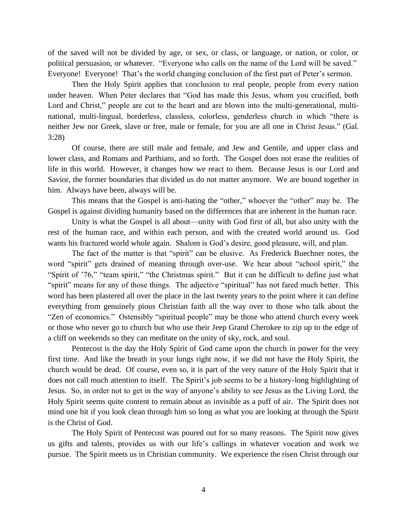of the saved will not be divided by age, or sex, or class, or language, or nation, or color, or political persuasion, or whatever. "Everyone who calls on the name of the Lord will be saved." Everyone! Everyone! That's the world changing conclusion of the first part of Peter's sermon.

Then the Holy Spirit applies that conclusion to real people, people from every nation under heaven. When Peter declares that "God has made this Jesus, whom you crucified, both Lord and Christ," people are cut to the heart and are blown into the multi-generational, multinational, multi-lingual, borderless, classless, colorless, genderless church in which "there is neither Jew nor Greek, slave or free, male or female, for you are all one in Christ Jesus." (Gal. 3:28)

Of course, there are still male and female, and Jew and Gentile, and upper class and lower class, and Romans and Parthians, and so forth. The Gospel does not erase the realities of life in this world. However, it changes how we react to them. Because Jesus is our Lord and Savior, the former boundaries that divided us do not matter anymore. We are bound together in him. Always have been, always will be.

This means that the Gospel is anti-hating the "other," whoever the "other" may be. The Gospel is against dividing humanity based on the differences that are inherent in the human race.

Unity is what the Gospel is all about—unity with God first of all, but also unity with the rest of the human race, and within each person, and with the created world around us. God wants his fractured world whole again. Shalom is God's desire, good pleasure, will, and plan.

The fact of the matter is that "spirit" can be elusive. As Frederick Buechner notes, the word "spirit" gets drained of meaning through over-use. We hear about "school spirit," the "Spirit of '76," "team spirit," "the Christmas spirit." But it can be difficult to define just what "spirit" means for any of those things. The adjective "spiritual" has not fared much better. This word has been plastered all over the place in the last twenty years to the point where it can define everything from genuinely pious Christian faith all the way over to those who talk about the "Zen of economics." Ostensibly "spiritual people" may be those who attend church every week or those who never go to church but who use their Jeep Grand Cherokee to zip up to the edge of a cliff on weekends so they can meditate on the unity of sky, rock, and soul.

Pentecost is the day the Holy Spirit of God came upon the church in power for the very first time. And like the breath in your lungs right now, if we did not have the Holy Spirit, the church would be dead. Of course, even so, it is part of the very nature of the Holy Spirit that it does not call much attention to itself. The Spirit's job seems to be a history-long highlighting of Jesus. So, in order not to get in the way of anyone's ability to see Jesus as the Living Lord, the Holy Spirit seems quite content to remain about as invisible as a puff of air. The Spirit does not mind one bit if you look clean through him so long as what you are looking at through the Spirit is the Christ of God.

The Holy Spirit of Pentecost was poured out for so many reasons. The Spirit now gives us gifts and talents, provides us with our life's callings in whatever vocation and work we pursue. The Spirit meets us in Christian community. We experience the risen Christ through our